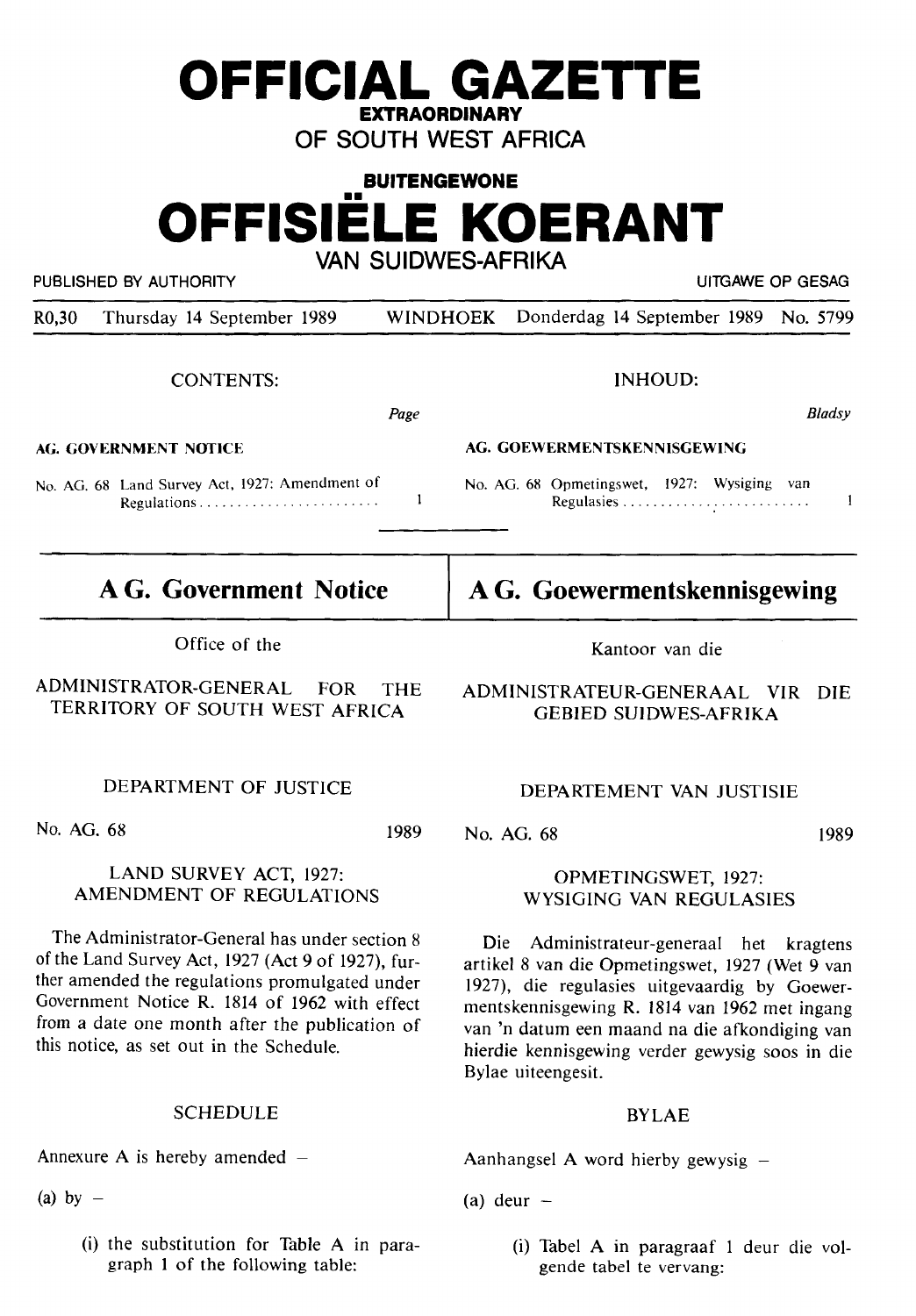# **BUITENGEWONE OFFISIELE KOERANT VAN SUIDWES-AFRIKA**

PUBLISHED BY AUTHORITY **EXECUTE A SECURE 2018 THE SECULAR SECURE 2019** UITGAWE OP GESAG

R0,30 Thursday 14 September 1989 WINDHOEK Donderdag 14 September 1989 **No.** 5799

CONTENTS:

*Page* 

 $\mathbf{1}$ 

**AG. GOVERNMENT NOTICE** 

No. AG. 68 Land Survey Act, 1927: Amendment of Regulations ...................... - .

# **AG. Government Notice**

Office of the

ADMINISTRATOR-GENERAL FOR THE TERRITORY OF SOUTH WEST AFRICA

DEPARTMENT OF JUSTICE

No. AG. 68

1989

### LAND SURVEY ACT, 1927: AMENDMENT OF REGULATIONS

The Administrator-General has under section 8 of the Land Survey Act, 1927 (Act 9 of 1927), further amended the regulations promulgated under Government Notice R. 1814 of 1962 with effect from a date one month after the publication of this notice, as set out in the Schedule.

## SCHEDULE

Annexure A is hereby amended  $-$ 

(a) by  $-$ 

(i) the substitution for Table **A** in paragraph I of the following table:

Kantoor van die

ADMINISTRATEUR-GENERAAL VIR DIE GEBIED SUIDWES-AFRIKA

#### DEPARTEMENT VAN JUSTISIE

No. AG. 68

OPMETINGSWET, 1927: WYSIGING VAN REGULASIES

Die Administrateur-generaal het kragtens artikel 8 van die Opmetingswet, 1927 **(Wet 9** van 1927), die regulasies uitgevaardig by Goewermentskennisgewing R. 1814 van 1962 met ingang van 'n datum een maand na die afkondiging van hierdie kennisgewing verder gewysig soos **in** die Bylae uiteengesit.

## BYLAE

Aanhangsel A word hierby gewysig  $-$ 

(a) deur  $-$ 

(i) Tabel A in paragraaf 1 deur die volgende tabel te vervang:

**A G. Goewermentskennisgewing** 

No. AG. 68 Opmetingswet, 1927: Wysiging van Regulasies ..............................

**AG. GOEWERMENTSKENNISGEWING** 



1989

*B/adsy* 

 $\mathbf{1}$ 

INHOUD: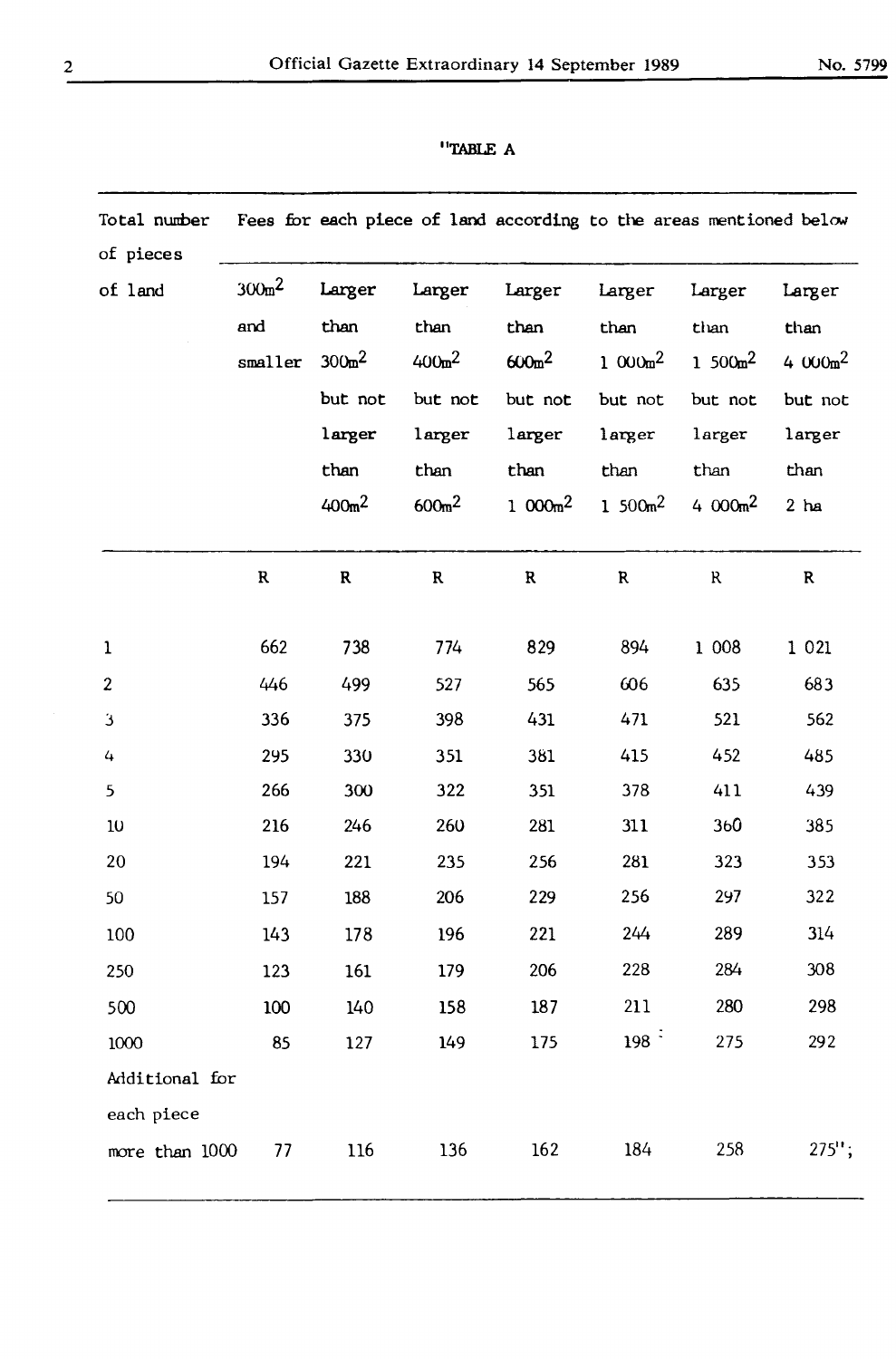| Fees for each piece of land according to the areas mentioned below<br>Total number<br>of pieces |                            |                                                                               |                                                                                 |                                                                                  |                                                                        |                                                                          |                                                                     |
|-------------------------------------------------------------------------------------------------|----------------------------|-------------------------------------------------------------------------------|---------------------------------------------------------------------------------|----------------------------------------------------------------------------------|------------------------------------------------------------------------|--------------------------------------------------------------------------|---------------------------------------------------------------------|
| of land                                                                                         | $300m^2$<br>and<br>smaller | Larger<br>than<br>$300m^2$<br>but not<br>larger<br>than<br>400 <sub>m</sub> 2 | Larger<br>than<br>$400m^{2}$<br>but not<br>larger<br>than<br>600 <sub>m</sub> 2 | Larger<br>than<br>600 <sub>m</sub> 2<br>but not<br>larger<br>than<br>1 000 $m^2$ | Larger<br>than<br>$1000m^2$<br>but not<br>larger<br>than<br>1 $500m^2$ | Larger<br>than<br>1 500 $m^2$<br>but not<br>larger<br>than<br>4 $000m^2$ | Larger<br>than<br>4 $000m^2$<br>but not<br>larger<br>than<br>$2$ ha |
|                                                                                                 | $\mathbf R$                | $\mathbf R$                                                                   | $\mathbf R$                                                                     | $\mathbf R$                                                                      | $\mathbf R$                                                            | $\mathbf{R}$                                                             | $\mathbf R$                                                         |
| $\mathbf{1}$                                                                                    | 662                        | 738                                                                           | 774                                                                             | 829                                                                              | 894                                                                    | 1 0 0 8                                                                  | 1 0 2 1                                                             |
| $\boldsymbol{2}$                                                                                | 446                        | 499                                                                           | 527                                                                             | 565                                                                              | 606                                                                    | 635                                                                      | 683                                                                 |
| 3                                                                                               | 336                        | 375                                                                           | 398                                                                             | 431                                                                              | 471                                                                    | 521                                                                      | 562                                                                 |
| 4                                                                                               | 295                        | 330                                                                           | 351                                                                             | 381                                                                              | 415                                                                    | 452                                                                      | 485                                                                 |
| 5                                                                                               | 266                        | 300                                                                           | 322                                                                             | 351                                                                              | 378                                                                    | 411                                                                      | 439                                                                 |
| $10$                                                                                            | 216                        | 246                                                                           | 260                                                                             | 281                                                                              | 311                                                                    | 360                                                                      | 385                                                                 |
| 20                                                                                              | 194                        | 221                                                                           | 235                                                                             | 256                                                                              | 281                                                                    | 323                                                                      | 353                                                                 |
| 50                                                                                              | 157                        | 188                                                                           | 206                                                                             | 229                                                                              | 256                                                                    | 297                                                                      | 322                                                                 |
| 100                                                                                             | 143                        | 178                                                                           | 196                                                                             | 221                                                                              | 244                                                                    | 289                                                                      | 314                                                                 |
| 250                                                                                             | 123                        | 161                                                                           | 179                                                                             | 206                                                                              | 228                                                                    | 284                                                                      | 308                                                                 |
| 500                                                                                             | 100                        | 140                                                                           | 158                                                                             | 187                                                                              | 211                                                                    | 280                                                                      | 298                                                                 |
| 1000                                                                                            | 85                         | 127                                                                           | 149                                                                             | 175                                                                              | $198-1$                                                                | 275                                                                      | 292                                                                 |
| Additional for<br>each piece                                                                    |                            |                                                                               |                                                                                 |                                                                                  |                                                                        |                                                                          |                                                                     |
| more than 1000                                                                                  | 77                         | 116                                                                           | 136                                                                             | 162                                                                              | 184                                                                    | 258                                                                      | $275$ ";                                                            |

## **''TABLE A**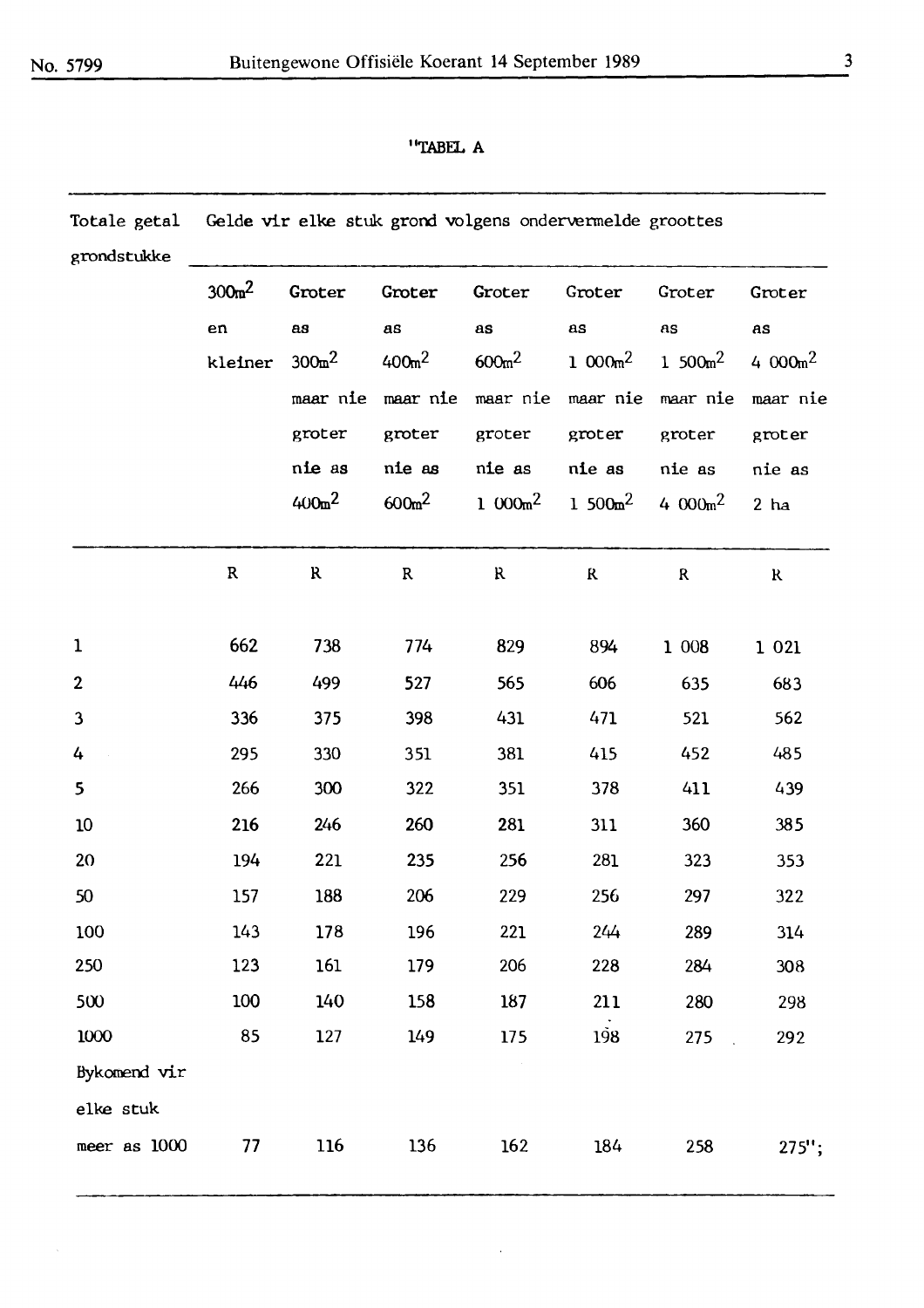### ''TABEL A

| Totale getal | Gelde vir elke stuk grond volgens ondervermelde groottes |                    |                    |                    |                   |             |             |  |  |  |
|--------------|----------------------------------------------------------|--------------------|--------------------|--------------------|-------------------|-------------|-------------|--|--|--|
| grondstukke  |                                                          |                    |                    |                    |                   |             |             |  |  |  |
|              | 300 <sub>m</sub> 2                                       | Groter             | Groter             | Groter             | Groter            | Groter      | Groter      |  |  |  |
|              | en                                                       | as                 | as                 | as                 | as                | AS          | as          |  |  |  |
|              | kleiner                                                  | 300 <sub>m</sub> 2 | 400 <sub>m</sub> 2 | 600 <sub>m</sub> 2 | $1.000m^2$        | 1 $500m^2$  | 4 000 $m^2$ |  |  |  |
|              |                                                          | maar nie           | maar nie           |                    | maar nie maar nie | maar nie    | maar nie    |  |  |  |
|              |                                                          | groter             | groter             | groter             | groter            | groter      | groter      |  |  |  |
|              |                                                          | nie as             | nie as             | nie as             | nie as            | nie as      | nie as      |  |  |  |
|              |                                                          | $400m^2$           | 600 <sub>m</sub> 2 | $1000m^2$          | 1 500 $m^2$       | 4 000 $m^2$ | $2$ ha      |  |  |  |
|              | ${\bf R}$                                                | R                  | ${\bf R}$          | R                  | $\bf R$           | $\mathbf R$ | $\bf{R}$    |  |  |  |
| 1            | 662                                                      | 738                | 774                | 829                | 894               | 1 008       | 1 0 2 1     |  |  |  |
| $\mathbf{2}$ | 446                                                      | 499                | 527                | 565                | 606               | 635         | 683         |  |  |  |
| 3            | 336                                                      | 375                | 398                | 431                | 471               | 521         | 562         |  |  |  |
| 4            | 295                                                      | 330                | 351                | 381                | 415               | 452         | 485         |  |  |  |
| 5            | 266                                                      | 300                | 322                | 351                | 378               | 411         | 439         |  |  |  |
| 10           | 216                                                      | 246                | 260                | 281                | 311               | 360         | 385         |  |  |  |
| 20           | 194                                                      | 221                | 235                | 256                | 281               | 323         | 353         |  |  |  |
| 50           | 157                                                      | 188                | 206                | 229                | 256               | 297         | 322         |  |  |  |
| 100          | 143                                                      | 178                | 196                | 221                | 244               | 289         | 314         |  |  |  |
| 250          | 123                                                      | 161                | 179                | 206                | 228               | 284         | 308         |  |  |  |
| 500          | 100                                                      | 140                | 158                | 187                | 211               | 280         | 298         |  |  |  |
| 1000         | 85                                                       | 127                | 149                | 175                | 198               | 275<br>in L | 292         |  |  |  |
| Bykomend vir |                                                          |                    |                    | $\sim$             |                   |             |             |  |  |  |
| elke stuk    |                                                          |                    |                    |                    |                   |             |             |  |  |  |
| meer as 1000 | 77                                                       | 116                | 136                | 162                | 184               | 258         | $275$ ";    |  |  |  |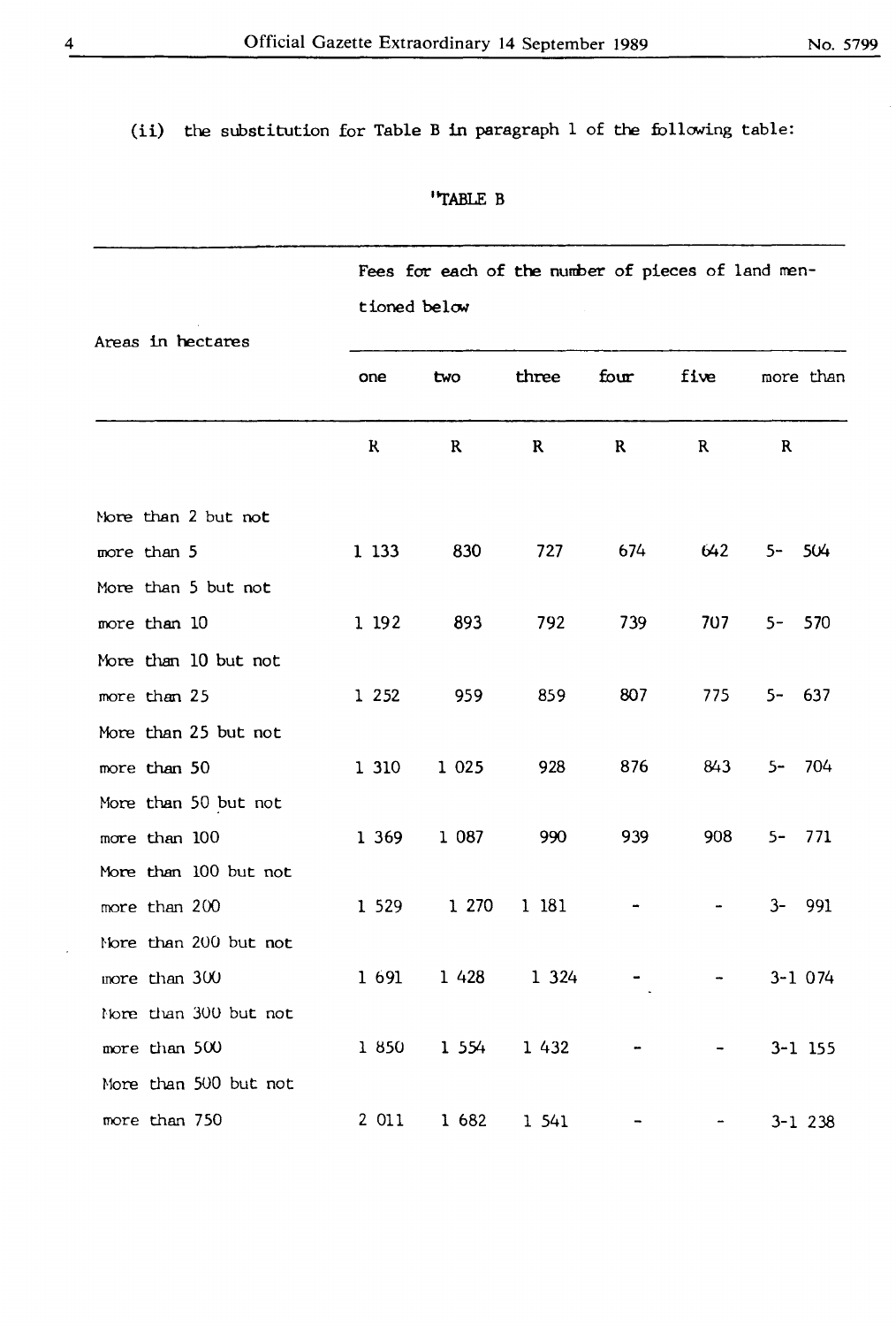# (ii) the substitution for Table Bin paragraph 1 of the following table:

''TABLE B

|                       | Fees for each of the number of pieces of land men- |                   |             |      |      |             |  |  |
|-----------------------|----------------------------------------------------|-------------------|-------------|------|------|-------------|--|--|
|                       | tioned below                                       |                   |             |      |      |             |  |  |
| Areas in hectares     | one                                                | two               | three       | four | five | more than   |  |  |
|                       | $\mathbf{R}$                                       | $\mathbf R$       | $\mathbf R$ | R    | R    | $\mathbf R$ |  |  |
| Nore than 2 but not   |                                                    |                   |             |      |      |             |  |  |
| more than 5           | 1 1 3 3                                            | 830               | 727         | 674  | 642  | $5-$<br>504 |  |  |
| More than 5 but not   |                                                    |                   |             |      |      |             |  |  |
| more than 10          | 1 192                                              | 893               | 792         | 739  | 707  | $5-$<br>570 |  |  |
| More than 10 but not  |                                                    |                   |             |      |      |             |  |  |
| more than 25          | 1 2 5 2                                            | 959               | 859         | 807  | 775  | $5 - 637$   |  |  |
| More than 25 but not  |                                                    |                   |             |      |      |             |  |  |
| more than 50          | 1 310                                              | 1 0 2 5           | 928         | 876  | 843  | 704<br>$5-$ |  |  |
| More than 50 but not  |                                                    |                   |             |      |      |             |  |  |
| more than 100         | 1 369                                              | 1 0 8 7           | 990         | 939  | 908  | 771<br>$5-$ |  |  |
| More than 100 but not |                                                    |                   |             |      |      |             |  |  |
| more than 200         | 1 5 2 9                                            | 1 270             | 1 181       |      |      | $3-$<br>991 |  |  |
| Nore than 200 but not |                                                    |                   |             |      |      |             |  |  |
| more than 300         | 1 691                                              | 1 4 2 8           | 1 3 2 4     |      |      | $3 - 1074$  |  |  |
| Nore than 300 but not |                                                    |                   |             |      |      |             |  |  |
| more than 500         |                                                    | 1 850 1 554 1 432 |             |      |      | $3 - 1$ 155 |  |  |
| More than 500 but not |                                                    |                   |             |      |      |             |  |  |
| more than 750         |                                                    | 2 011 1 682 1 541 |             |      |      | $3 - 1$ 238 |  |  |

 $\ddot{\phantom{0}}$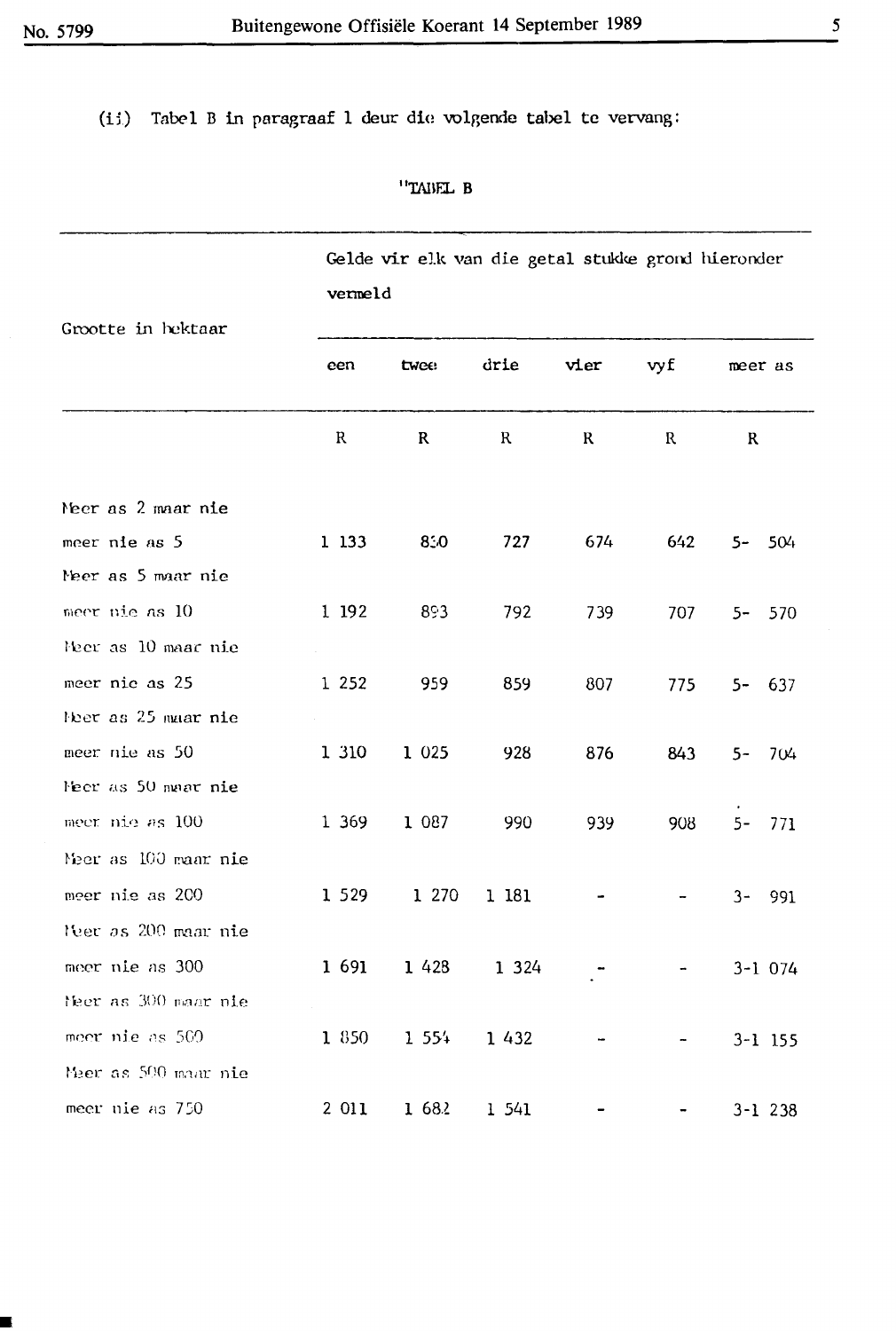■

(ii) Tabel B in paragraaf 1 deur die volgende tabel te vervang:

''TABEL B

|                      | Gelde vir elk van die getal stukke grond hieronder<br>vermeld |         |          |         |     |             |  |
|----------------------|---------------------------------------------------------------|---------|----------|---------|-----|-------------|--|
| Grootte in hektaar   | een                                                           | twee:   | drie     | vier    | vyf | meer as     |  |
|                      | R                                                             | R       | R        | $\bf R$ | R   | $\mathbf R$ |  |
| Meer as 2 maar nie   |                                                               |         |          |         |     |             |  |
| meer nie as 5        | 1 133                                                         | 850     | 727      | 674     | 642 | $5-$<br>504 |  |
| Meer as 5 maar nie   |                                                               |         |          |         |     |             |  |
| meer nie as 10       | 1 192                                                         | 893     | 792      | 739     | 707 | $5-$<br>570 |  |
| Meer as 10 maar nie  |                                                               |         |          |         |     |             |  |
| meer nic as 25       | 1 2 5 2                                                       | 959     | 859      | 807     | 775 | $5 - 637$   |  |
| Ner as 25 maar nie   |                                                               |         |          |         |     |             |  |
| meer nie as 50       | 1 310                                                         | 1 0 2 5 | 928      | 876     | 843 | $5 - 704$   |  |
| Meer as 50 maar nie  |                                                               |         |          |         |     |             |  |
| meer nie as 100      | 1 369                                                         | 1 087   | 990      | 939     | 908 | $5-$<br>771 |  |
| Meer as 100 maar nie |                                                               |         |          |         |     |             |  |
| meer nie as 200      | 1 5 2 9                                                       | 1 270   | 1 181    |         |     | $3-$<br>991 |  |
| Nec as 200 maar nie  |                                                               |         |          |         |     |             |  |
| meer nie as 300      | 1 691                                                         | 1 4 2 8 | 1 3 2 4  |         |     | $3 - 1074$  |  |
| Neer as 300 maar nie |                                                               |         |          |         |     |             |  |
| meer nie as 500      | 1 850                                                         | 1 5 5 4 | 1 4 3 2  |         |     | $3 - 1$ 155 |  |
| Meer as 500 maar nie |                                                               |         |          |         |     |             |  |
| meer nie as 750      | 2 0 1 1                                                       | 1682    | $1\,541$ |         |     | $3 - 1$ 238 |  |

*5*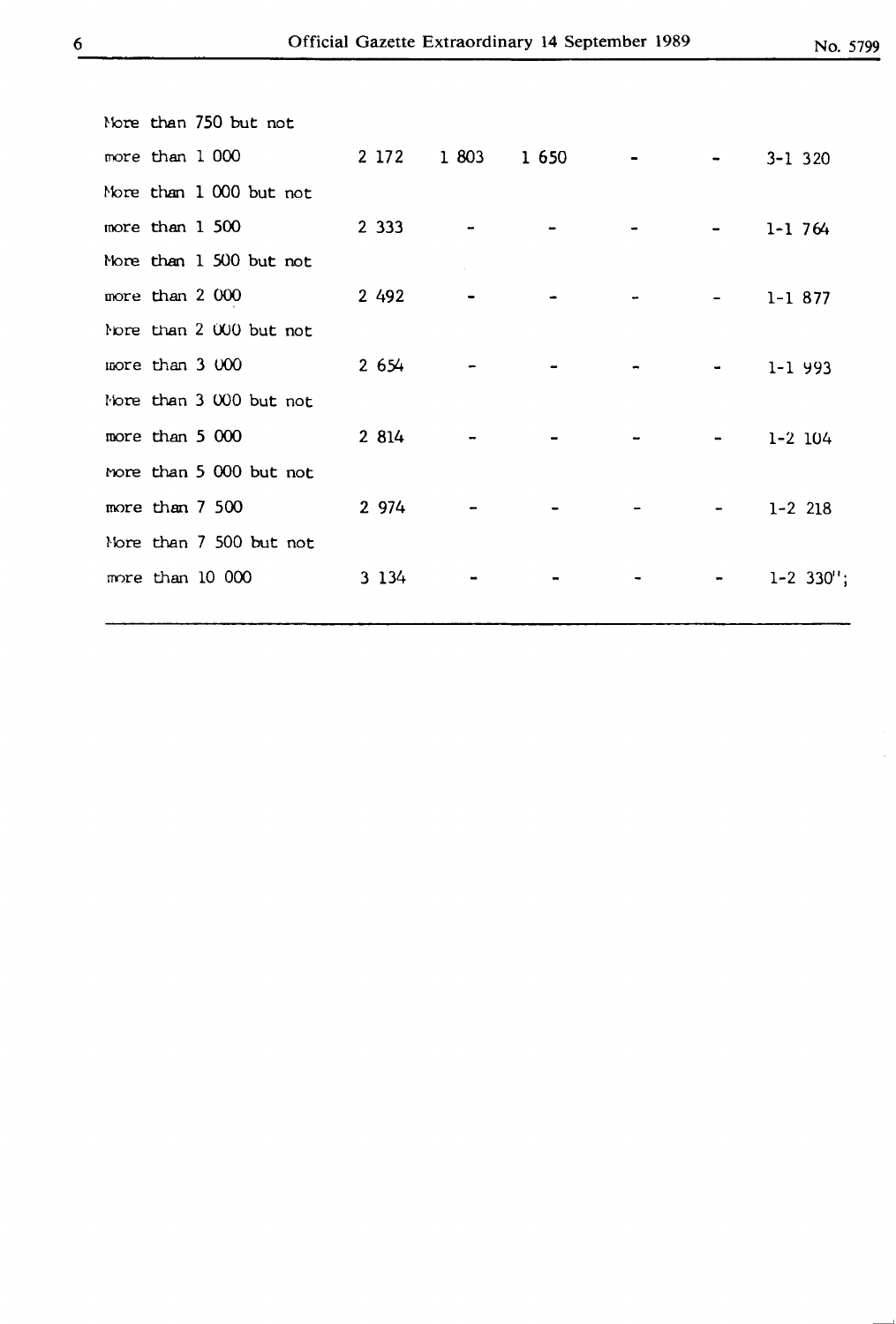-

|  | Nore than 750 but not   |         |       |         |                                                                                                                                                   |                |
|--|-------------------------|---------|-------|---------|---------------------------------------------------------------------------------------------------------------------------------------------------|----------------|
|  | more than 1 000         | 2 172   | 1 803 | 1 6 5 0 |                                                                                                                                                   | $3 - 1$ 320    |
|  | More than 1 000 but not |         |       |         |                                                                                                                                                   |                |
|  | more than 1 500         | 2 3 3 3 |       |         |                                                                                                                                                   | $1 - 1$ 764    |
|  | More than 1 500 but not |         |       |         |                                                                                                                                                   |                |
|  | more than 2 000         | 2 4 9 2 |       |         | $\blacksquare$                                                                                                                                    | $1 - 1877$     |
|  | Nore than 2 000 but not |         |       |         |                                                                                                                                                   |                |
|  | more than 3 000         | 2654    |       |         | $\blacksquare$                                                                                                                                    | $1 - 1$ 993    |
|  | Nore than 3 000 but not |         |       |         |                                                                                                                                                   |                |
|  | more than 5 000         | 2 814   |       |         | $\blacksquare$                                                                                                                                    | $1 - 2$ 104    |
|  | more than 5 000 but not |         |       |         |                                                                                                                                                   |                |
|  | more than 7 500         | 2 974   |       |         | $\hskip1.6pt\hskip1.6pt\hskip1.6pt\hskip1.6pt\hskip1.6pt\hskip1.6pt\hskip1.6pt\hskip1.6pt\hskip1.6pt\hskip1.6pt\hskip1.6pt\hskip1.6pt\hskip1.6pt$ | $1 - 2$ 218    |
|  | Nore than 7 500 but not |         |       |         |                                                                                                                                                   |                |
|  | more than 10 000        | 3 1 3 4 |       |         |                                                                                                                                                   | $1 - 2$ 330''; |
|  |                         |         |       |         |                                                                                                                                                   |                |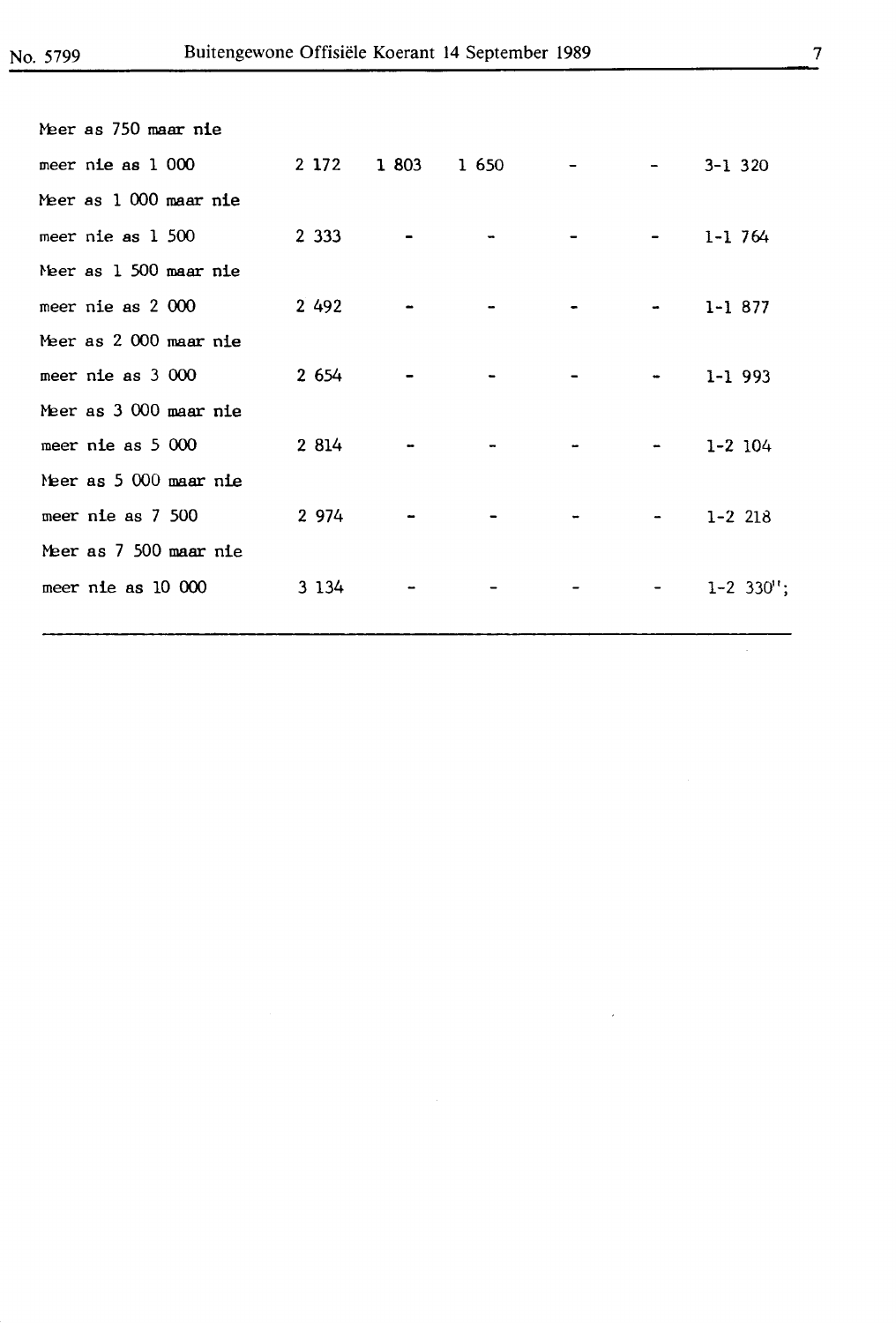| Meer as 750 maar nie   |         |                   |                                                                                                                                                                                                                                                                                                                                                                                                                                                                            |                |
|------------------------|---------|-------------------|----------------------------------------------------------------------------------------------------------------------------------------------------------------------------------------------------------------------------------------------------------------------------------------------------------------------------------------------------------------------------------------------------------------------------------------------------------------------------|----------------|
| meer nie as 1 000      |         | 2 172 1 803 1 650 |                                                                                                                                                                                                                                                                                                                                                                                                                                                                            | $3 - 1$ 320    |
| Meer as 1 000 maar nie |         |                   |                                                                                                                                                                                                                                                                                                                                                                                                                                                                            |                |
| meer nie as 1 500      | 2 3 3 3 |                   | $\mathcal{L}^{\mathcal{L}}(\mathcal{L}^{\mathcal{L}}(\mathcal{L}^{\mathcal{L}}(\mathcal{L}^{\mathcal{L}}(\mathcal{L}^{\mathcal{L}}(\mathcal{L}^{\mathcal{L}}(\mathcal{L}^{\mathcal{L}}(\mathcal{L}^{\mathcal{L}}(\mathcal{L}^{\mathcal{L}}(\mathcal{L}^{\mathcal{L}}(\mathcal{L}^{\mathcal{L}}(\mathcal{L}^{\mathcal{L}}(\mathcal{L}^{\mathcal{L}}(\mathcal{L}^{\mathcal{L}}(\mathcal{L}^{\mathcal{L}}(\mathcal{L}^{\mathcal{L}}(\mathcal{L}^{\mathcal{L$                  | $1 - 1$ 764    |
| Meer as 1 500 maar nie |         |                   |                                                                                                                                                                                                                                                                                                                                                                                                                                                                            |                |
| meer nie as 2 000      | 2 4 9 2 |                   | $\frac{1}{2} \left( \frac{1}{2} \right) \left( \frac{1}{2} \right) \left( \frac{1}{2} \right) \left( \frac{1}{2} \right) \left( \frac{1}{2} \right) \left( \frac{1}{2} \right) \left( \frac{1}{2} \right) \left( \frac{1}{2} \right) \left( \frac{1}{2} \right) \left( \frac{1}{2} \right) \left( \frac{1}{2} \right) \left( \frac{1}{2} \right) \left( \frac{1}{2} \right) \left( \frac{1}{2} \right) \left( \frac{1}{2} \right) \left( \frac{1}{2} \right) \left( \frac$ | $1 - 1877$     |
| Meer as 2 000 maar nie |         |                   |                                                                                                                                                                                                                                                                                                                                                                                                                                                                            |                |
| meer nie as 3 000      | 2 6 5 4 |                   | $\blacksquare$                                                                                                                                                                                                                                                                                                                                                                                                                                                             | $1 - 1$ 993    |
| Meer as 3 000 maar nie |         |                   |                                                                                                                                                                                                                                                                                                                                                                                                                                                                            |                |
| meer nie as 5 000      | 2 8 14  |                   | <b>Contract Contract</b>                                                                                                                                                                                                                                                                                                                                                                                                                                                   | $1 - 2$ 104    |
| Meer as 5 000 maar nie |         |                   |                                                                                                                                                                                                                                                                                                                                                                                                                                                                            |                |
| meer nie as 7 500      | 2 974   |                   | <b>Committee Committee</b>                                                                                                                                                                                                                                                                                                                                                                                                                                                 | $1 - 2$ 218    |
| Meer as 7 500 maar nie |         |                   |                                                                                                                                                                                                                                                                                                                                                                                                                                                                            |                |
| meer nie as 10 000     | 3 1 3 4 |                   | <b>Service State</b>                                                                                                                                                                                                                                                                                                                                                                                                                                                       | $1 - 2$ 330''; |
|                        |         |                   |                                                                                                                                                                                                                                                                                                                                                                                                                                                                            |                |
|                        |         |                   |                                                                                                                                                                                                                                                                                                                                                                                                                                                                            |                |

 $\mathcal{L}^{(1)}$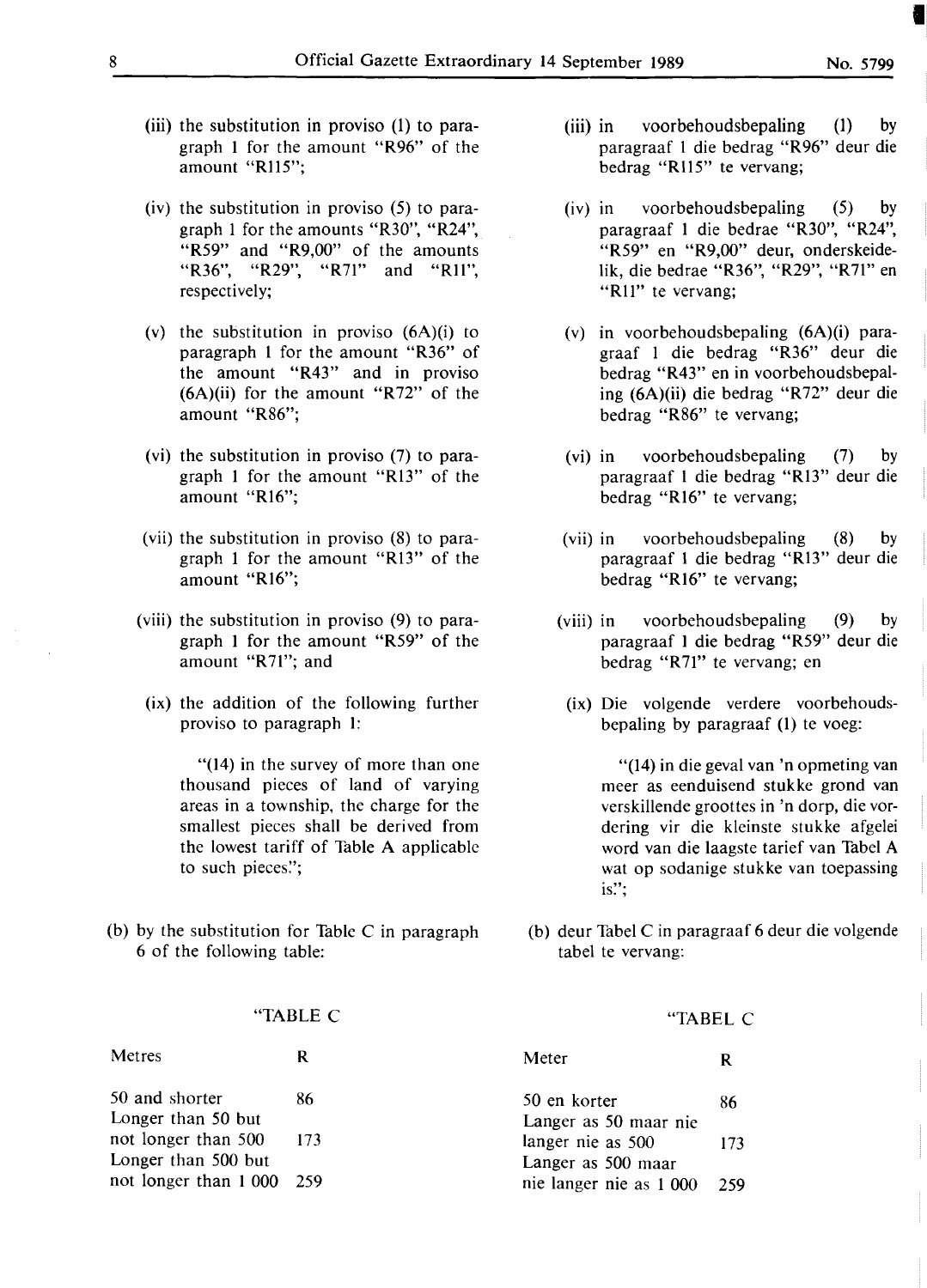- (iii) the substitution in proviso (1) to paragraph 1 for the amount **"R96"** of the amount "Rll5";
- (iv) the substitution in proviso (5) to paragraph 1 for the amounts "R30", "R24", "R59" and "R9,00" of the amounts "R36", "R29", "R71" and "Rll", respectively;
- (v) the substitution in proviso (6A)(i) to paragraph 1 for the amount "R36" of the amount "R43" and in proviso  $(6A)(ii)$  for the amount "R72" of the amount **"R86";**
- (vi) the substitution in proviso (7) to paragraph 1 for the amount **"R13"** of the amount "Rl6";
- (vii) the substitution in proviso (8) to paragraph 1 for the amount **"R13"** of the amount "Rl6";
- (viii) the substitution in proviso (9) to paragraph I for the amount "R59" of the amount "R71"; and
- (ix) the addition of the following further proviso to paragraph 1:

"(14) in the survey of more than one thousand pieces of land of varying areas in a township, the charge for the smallest pieces shall be derived from the lowest tariff of Table A applicable to such pieces.";

(b) by the substitution for Table C in paragraph 6 of the following table:

#### **"TABLE** C

| Metres                                            | R  | Meter                                             |     |
|---------------------------------------------------|----|---------------------------------------------------|-----|
| 50 and shorter                                    | 86 | 50 en korter                                      | 86  |
| Longer than 50 but<br>not longer than $500 - 173$ |    | Langer as 50 maar nie<br>langer nie as 500        | 173 |
| Longer than 500 but<br>not longer than 1 000 259  |    | Langer as 500 maar<br>nie langer nie as 1 000 259 |     |

- (iii) in voorbehoudsbepaling (1) by paragraaf 1 die bedrag "R96" deur die bedrag "Rll5" te vervang;
- (iv) in voorbehoudsbepaling (5) by paragraaf 1 die bedrae "R30", "R24", "R59" en "R9,00" deur, onderskeidelik, die bedrae "R36", "R29", "R71" en **"Rll"** te vervang;
- (v) in voorbehoudsbepaling (6A)(i) paragraaf 1 die bedrag **"R36"** deur die bedrag "R43" en in voorbehoudsbepaling (6A)(ii) die bedrag "R72" deur die bedrag **"R86"** te vervang;
- (vi) in voorbehoudsbepaling (7) by paragraaf 1 die bedrag **"Rl3"** deur die bedrag **"Rl6"** te vervang;
- (vii) in voorbehoudsbepaling (8) by paragraaf 1 die bedrag **"R13"** deur die bedrag "R16" te vervang;
- (viii) in voorbehoudsbepaling (9) by paragraaf I die bedrag "R59" deur die bedrag "R71" te vervang; en
- (ix) Die volgende verdere voorbehoudsbepaling by paragraaf (1) te voeg:

"(14) in die geval van 'n opmeting van meer as eenduisend stukke grond van verskillende groottes in 'n dorp, die vordering vir die kleinste stukke afgelei word van die laagste tarief van Tabel A wat op sodanige stukke van toepassing is!';

(b) deur Tabel C in paragraaf 6 deur die volgende tabel te vervang:

"TABEL C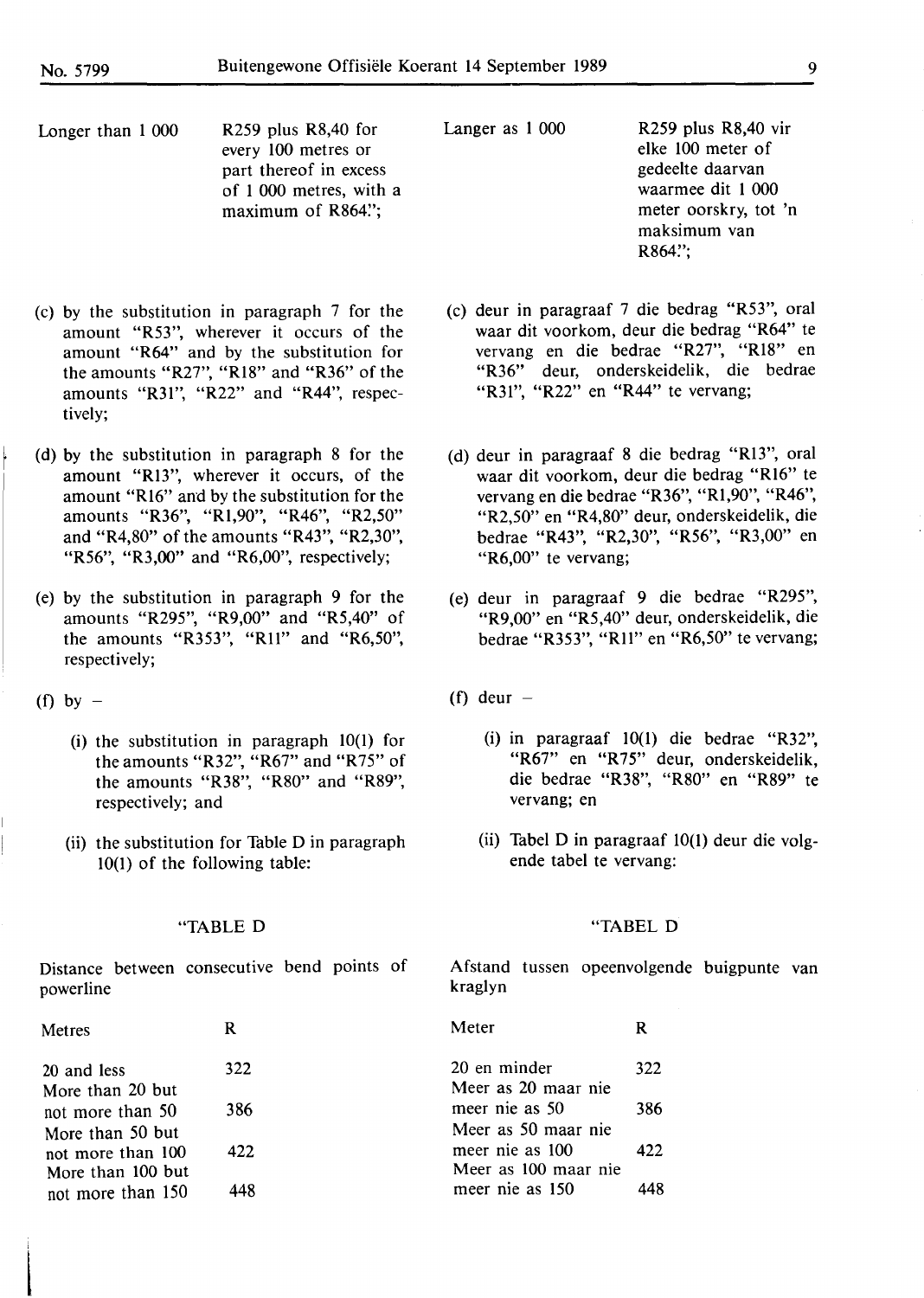Longer than 1 000 R259 plus R8,40 for every 100 metres or part thereof in excess of 1 000 metres, with a maximum of R864";

Langer as 1 000 R259 plus R8,40 vir elke 100 meter of gedeelte daarvan waarmee dit 1 000 meter oorskry, tot 'n maksimum van R864":

- (c) deur in paragraaf 7 die bedrag "R53", oral waar dit voorkom, deur die bedrag **"R64"** te vervang en die bedrae "R27", "Rl8" en "R36" deur, onderskeidelik, die bedrae "R31", "R22" en "R44" te vervang;
- (d) deur in paragraaf 8 die bedrag "Rl3", oral waar dit voorkom, deur die bedrag "Rl6" te vervang **en die** bedrae **"R36",** "Rl,90", "R46", "R2,50" **en** "R4,80" **deur,** onderskeidelik, die bedrae **"R43",** "R2,30", "R56", **"R3,00"** en "R6,00" te vervang;
- (e) deur in paragraaf 9 die bedrae "R295", "R9,00" en "RS,40" deur, onderskeidelik, die bedrae "R353", "R11" en "R6,50" te vervang;

(f) deur  $-$ 

- (i) in paragraaf 10(1) die bedrae "R32", "R67" en "R75" deur, onderskeidelik, die bedrae "R38", "R80" en "R89" te vervang; en
- (ii) Tabel D in paragraaf 10(1) deur die volgende tabel te vervang:

#### "TABEL D

Afstand tussen opeenvolgende buigpunte van kraglyn

| Metres                                 | R   | Meter                                   | R   |
|----------------------------------------|-----|-----------------------------------------|-----|
| 20 and less<br>More than 20 but        | 322 | 20 en minder<br>Meer as 20 maar nie     | 322 |
| not more than 50<br>More than 50 but   | 386 | meer nie as 50<br>Meer as 50 maar nie   | 386 |
| not more than 100<br>More than 100 but | 422 | meer nie as 100<br>Meer as 100 maar nie | 422 |
| not more than 150                      | 448 | meer nie as 150                         |     |

- (c) by the substitution in paragraph 7 for the amount "R53", wherever it occurs of the amount "R64" and by the substitution for the amounts "R27", "Rl8" and "R36" of the amounts "R31", "R22" and "R44", respectively;
- (d) by the substitution in paragraph 8 for the amount "Rl3", wherever it occurs, of the amount "Rl6" and by the substitution for the amounts "R36", "Rl,90", "R46", "R2,50" and "R4,80" of the amounts "R43", "R2,30", "R56", "R3,00" and "R6,00", respectively;
- (e) by the substitution in paragraph 9 for the amounts "R295", "R9,00" and "R5,40" of the amounts "R353", "Rll" and "R6,50", respectively;
- (f) by  $-$ 
	- (i) the substitution in paragraph 10(1) for the amounts "R32", "R67" and "R75" of the amounts "R38", "R80" and "R89", respectively; and
	- (ii) the substitution for Table D in paragraph 10(1) of the following table:

#### "TABLE D

Distance between consecutive bend points of powerline